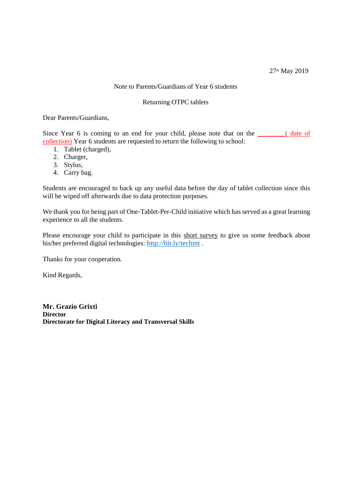27th May 2019

## Note to Parents/Guardians of Year 6 students

## Returning OTPC tablets

Dear Parents/Guardians,

Since Year 6 is coming to an end for your child, please note that on the  $\qquad$  (date of collection) Year 6 students are requested to return the following to school:

- 1. Tablet (charged),
- 2. Charger,
- 3. Stylus,
- 4. Carry bag.

Students are encouraged to back up any useful data before the day of tablet collection since this will be wiped off afterwards due to data protection purposes.

We thank you for being part of One-Tablet-Per-Child initiative which has served as a great learning experience to all the students.

Please encourage your child to participate in this [short survey](https://docs.google.com/forms/d/e/1FAIpQLSfxaGLHohRHUh7RnO5gz1OQo2bVOaFuFAKcxlz3nq3NCGHG2Q/viewform) to give us some feedback about his/her preferred digital technologies: <http://bit.ly/techmt> .

Thanks for your cooperation.

Kind Regards,

**Mr. Grazio Grixti Director Directorate for Digital Literacy and Transversal Skills**